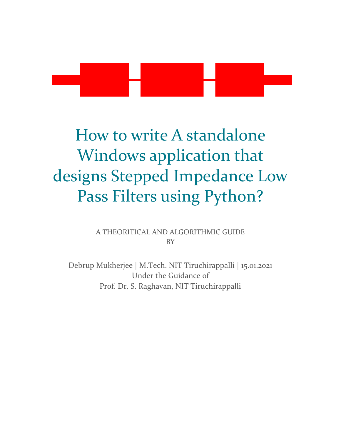# How to write A standalone Windows application that designs Stepped Impedance Low Pass Filters using Python?

A THEORITICAL AND ALGORITHMIC GUIDE BY

Debrup Mukherjee | M.Tech. NIT Tiruchirappalli | 15.01.2021 Under the Guidance of Prof. Dr. S. Raghavan, NIT Tiruchirappalli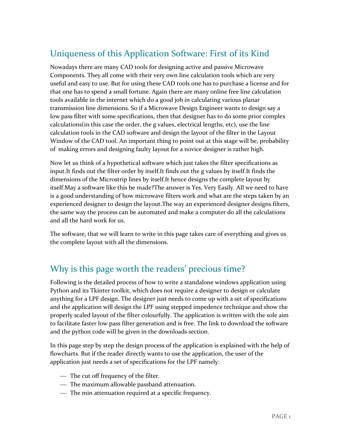# Uniqueness of this Application Software: First of its Kind

Nowadays there are many CAD tools for designing active and passive Microwave Components. They all come with their very own line calculation tools which are very useful and easy to use. But for using these CAD tools one has to purchase a license and for that one has to spend a small fortune. Again there are many online free line calculation tools available in the internet which do a good job in calculating various planar transmission line dimensions. So if a Microwave Design Engineer wants to design say a low pass filter with some specifications, then that designer has to do some prior complex calculations(in this case the order, the g values, electrical lengths, etc), use the line calculation tools in the CAD software and design the layout of the filter in the Layout Window of the CAD tool. An important thing to point out at this stage will be, probability of making errors and designing faulty layout for a novice designer is rather high.

Now let us think of a hypothetical software which just takes the filter specifications as input.It finds out the filter order by itself.It finds out the g values by itself.It finds the dimensions of the Microstrip lines by itself.It hence designs the complete layout by itself.May a software like this be made?The answer is Yes. Very Easily. All we need to have is a good understanding of how microwave filters work and what are the steps taken by an experienced designer to design the layout.The way an experienced designer designs filters, the same way the process can be automated and make a computer do all the calculations and all the hard work for us.

The software, that we will learn to write in this page takes care of everything and gives us the complete layout with all the dimensions.

# Why is this page worth the readers' precious time?

Following is the detailed process of how to write a standalone windows application using Python and its Tkinter toolkit, which does not require a designer to design or calculate anything for a LPF design. The designer just needs to come up with a set of specifications and the application will design the LPF using stepped impedence technique and show the properly scaled layout of the filter colourfully. The application is written with the sole aim to facilitate faster low pass filter generation and is free. The link to download the software and the python code will be given in the downloads section.

In this page step by step the design process of the application is explained with the help of flowcharts. But if the reader directly wants to use the application, the user of the application just needs a set of specifications for the LPF namely:

- The cut off frequency of the filter.
- ⎯ The maximum allowable passband attenuation.
- The min attenuation required at a specific frequency.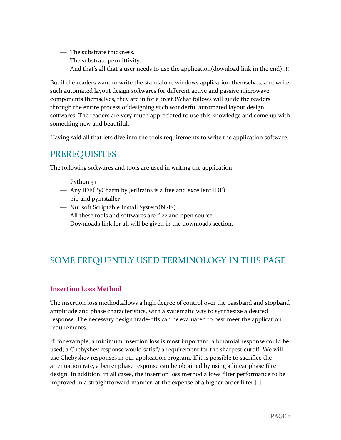- ⎯ The substrate thickness.
- The substrate permittivity. And that's all that a user needs to use the application(download link in the end)!!!!

But if the readers want to write the standalone windows application themselves, and write such automated layout design softwares for different active and passive microwave components themselves, they are in for a treat!!What follows will guide the readers through the entire process of designing such wonderful automated layout design softwares. The readers are very much appreciated to use this knowledge and come up with something new and beautiful.

Having said all that lets dive into the tools requirements to write the application software.

# PREREQUISITES

The following softwares and tools are used in writing the application:

- $\equiv$  Python 3+
- ⎯ Any IDE(PyCharm by JetBrains is a free and excellent IDE)
- $-$  pip and pyinstaller
- ⎯ Nullsoft Scriptable Install System(NSIS) All these tools and softwares are free and open source. Downloads link for all will be given in the downloads section.

# SOME FREQUENTLY USED TERMINOLOGY IN THIS PAGE

#### **Insertion Loss Method**

The insertion loss method,allows a high degree of control over the passband and stopband amplitude and phase characteristics, with a systematic way to synthesize a desired response. The necessary design trade-offs can be evaluated to best meet the application requirements.

If, for example, a minimum insertion loss is most important, a binomial response could be used; a Chebyshev response would satisfy a requirement for the sharpest cutoff. We will use Chebyshev responses in our application program. If it is possible to sacrifice the attenuation rate, a better phase response can be obtained by using a linear phase filter design. In addition, in all cases, the insertion loss method allows filter performance to be improved in a straightforward manner, at the expense of a higher order filter.[1]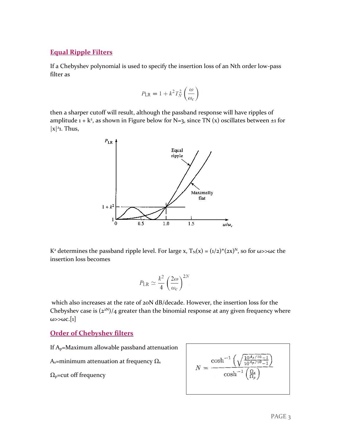#### **Equal Ripple Filters**

If a Chebyshev polynomial is used to specify the insertion loss of an Nth order low-pass filter as

$$
P_{\text{LR}} = 1 + k^2 T_N^2 \left(\frac{\omega}{\omega_c}\right)
$$

then a sharper cutoff will result, although the passband response will have ripples of amplitude  $1 + k^2$ , as shown in Figure below for N=3, since TN (x) oscillates between  $\pm 1$  for  $|x|^2$ 1. Thus,



K<sup>2</sup> determines the passband ripple level. For large x,  $T_N(x) = (1/2)^*(2x)^N$ , so for  $\omega > \omega c$  the insertion loss becomes

$$
P_{\text{LR}} \simeq \frac{k^2}{4} \left(\frac{2\omega}{\omega_c}\right)^{2N}
$$

which also increases at the rate of 20N dB/decade. However, the insertion loss for the Chebyshev case is  $(2^{2N})/4$  greater than the binomial response at any given frequency where  $\omega$ > $\omega$ c.[1]

#### **Order of Chebyshev filters**

If Ap=Maximum allowable passband attenuation

A<sub>s</sub>=minimum attenuation at frequency  $Ω_s$ 

 $\Omega_{p}$ =cut off frequency

$$
N = \frac{\cosh^{-1}\left(\sqrt{\frac{10^{A_s/10} - 1}{10^{A_p/10} - 1}}\right)}{\cosh^{-1}\left(\frac{\Omega_s}{\Omega_p}\right)}
$$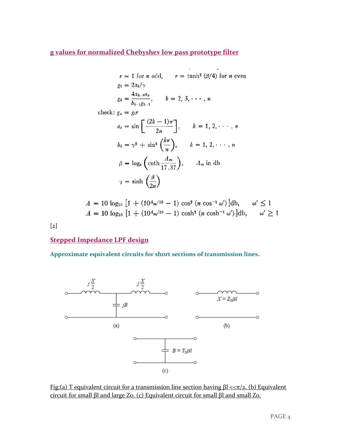#### **g values for normalized Chebyshev low pass prototype filter**

 $r = 1$  for *n* odd,  $r = \tanh^2(\beta/4)$  for *n* even  $g_1 = 2a_1/\gamma$  $4a_1$  and

$$
g_k = \frac{4a_{k-1}a_k}{b_{k-1}g_{k-1}},
$$
  $k = 2, 3, \cdots, n$ 

check:  $g_n = g_1 r$ <br>  $\Gamma(2b - 1)$ 

$$
a_k = \sin\left[\frac{(2k-1)\pi}{2n}\right], \qquad k = 1, 2, \dots, n
$$

$$
b_k = \gamma^2 + \sin^2\left(\frac{k\pi}{n}\right), \qquad k = 1, 2, \dots, n
$$

$$
\beta = \log_e\left(\coth\frac{A_m}{17.37}\right), \qquad A_m \text{ in db}
$$

$$
\gamma = \sinh\left(\frac{\beta}{2n}\right)
$$

$$
A = 10 \log_{10} \left[ 1 + (10^{4}m^{10} - 1) \cos^{2} (n \cos^{-1} \omega') \right] db, \quad \omega' \le 1
$$
  

$$
A = 10 \log_{10} \left[ 1 + (10^{4}m^{10} - 1) \cosh^{2} (n \cosh^{-1} \omega') \right] db, \quad \omega' \ge 1
$$

[2]

#### **Stepped Impedance LPF design**

**Approximate equivalent circuits for short sections of transmission lines.**



Fig:(a) T equivalent circuit for a transmission line section having  $\beta$ l < $\pi/2$ . (b) Equivalent circuit for small βl and large Zo. (c) Equivalent circuit for small βl and small Zo.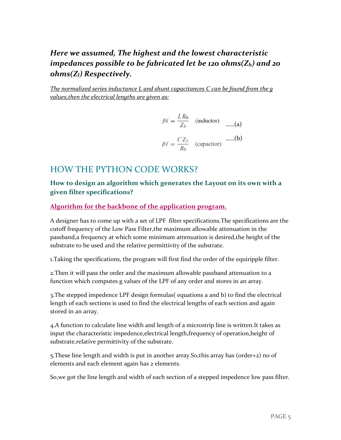# *Here we assumed, The highest and the lowest characteristic impedances possible to be fabricated let be 120 ohms(Zh) and 20 ohms(Zl) Respectively.*

*The normalized series inductance L and shunt capacitances C can be found from the g values,then the electrical lengths are given as:*

$$
\beta \ell = \frac{LR_0}{Z_h} \quad \text{(inductor)} \quad \dots (a)
$$

$$
\beta \ell = \frac{CZ_{\ell}}{R_0} \quad \text{(capacitor)} \quad \dots (b)
$$

# HOW THE PYTHON CODE WORKS?

#### **How to design an algorithm which generates the Layout on its own with a given filter specifications?**

**Algorithm for the backbone of the application program.**

A designer has to come up with a set of LPF filter specifications.The specifications are the cutoff frequency of the Low Pass Filter,the maximum allowable attenuation in the passband,a frequency at which some minimum attenuation is desired,the height of the substrate to be used and the relative permittivity of the substrate.

1.Taking the specifications, the program will first find the order of the equiripple filter.

2.Then it will pass the order and the maximum allowable passband attenuation to a function which computes g values of the LPF of any order and stores in an array.

3.The stepped impedence LPF design formulas( equations a and b) to find the electrical length of each sections is used to find the electrical lengths of each section and again stored in an array.

4.A function to calculate line width and length of a microstrip line is written.It takes as input the characteristic impedence,electrical length,frequency of operation,height of substrate,relative permittivity of the substrate.

5.These line length and width is put in another array.So,this array has (order+2) no of elements and each element again has 2 elements.

So,we got the line length and width of each section of a stepped impedence low pass filter.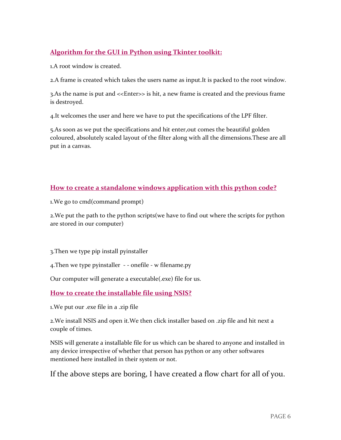### **Algorithm for the GUI in Python using Tkinter toolkit:**

1.A root window is created.

2.A frame is created which takes the users name as input.It is packed to the root window.

3.As the name is put and <<Enter>> is hit, a new frame is created and the previous frame is destroyed.

4.It welcomes the user and here we have to put the specifications of the LPF filter.

5.As soon as we put the specifications and hit enter,out comes the beautiful golden coloured, absolutely scaled layout of the filter along with all the dimensions.These are all put in a canvas.

#### **How to create a standalone windows application with this python code?**

1.We go to cmd(command prompt)

2.We put the path to the python scripts(we have to find out where the scripts for python are stored in our computer)

3.Then we type pip install pyinstaller

4.Then we type pyinstaller - - onefile - w filename.py

Our computer will generate a executable(.exe) file for us.

#### **How to create the installable file using NSIS?**

1.We put our .exe file in a .zip file

2.We install NSIS and open it.We then click installer based on .zip file and hit next a couple of times.

NSIS will generate a installable file for us which can be shared to anyone and installed in any device irrespective of whether that person has python or any other softwares mentioned here installed in their system or not.

If the above steps are boring, I have created a flow chart for all of you.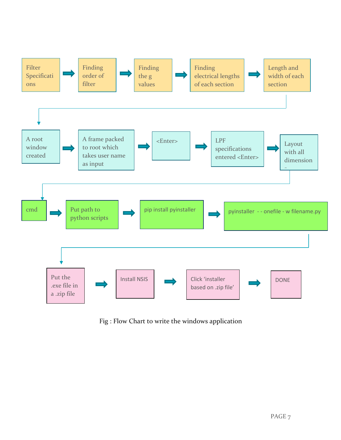

Fig : Flow Chart to write the windows application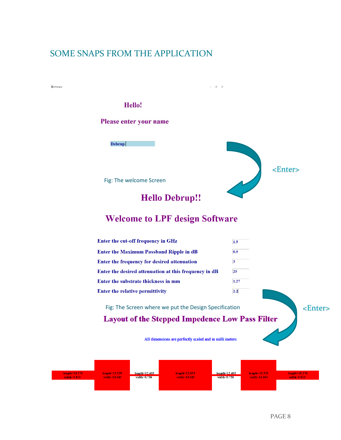# SOME SNAPS FROM THE APPLICATION

 $\frac{\text{length}=18.276}{\text{width}=18.276}$ 



 $width=0.736$ 

 $width=0.736$ 

length=18.27<mark>6</mark>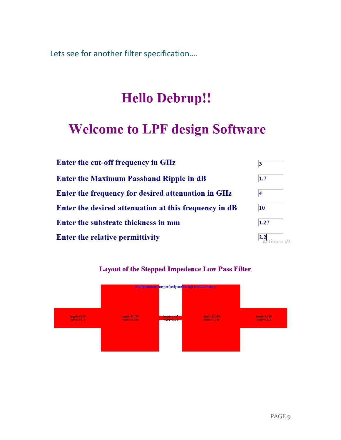Lets see for another filter specification….

# **Hello Debrup!!**

# **Welcome to LPF design Software**

| Enter the cut-off frequency in GHz                    | $\overline{\mathbf{3}}$ |
|-------------------------------------------------------|-------------------------|
| <b>Enter the Maximum Passband Ripple in dB</b>        | 1.7                     |
| Enter the frequency for desired attenuation in GHz    | $\overline{\bf 4}$      |
| Enter the desired attenuation at this frequency in dB | 10                      |
| Enter the substrate thickness in mm                   | 1.27                    |
| <b>Enter the relative permittivity</b>                |                         |



#### **Layout of the Stepped Impedence Low Pass Filter**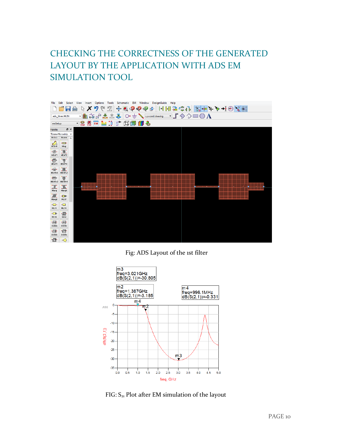# CHECKING THE CORRECTNESS OF THE GENERATED LAYOUT BY THE APPLICATION WITH ADS EM SIMULATION TOOL



Fig: ADS Layout of the 1st filter



FIG:  $S_{21}$  Plot after EM simulation of the layout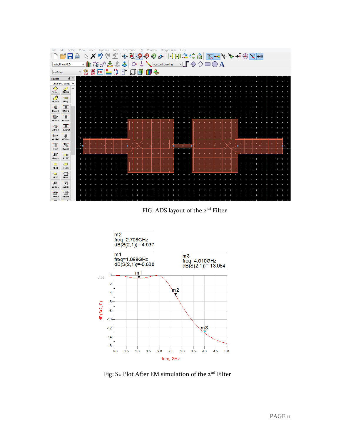|                          |                 |                         |              |                 |                  |    |                  |   |   | ools |                | Schematic                                                        | EM |    |                |     | DesignGuide   |  |                         | Help |   |                                     |  |  |  |  |   |  |  |  |
|--------------------------|-----------------|-------------------------|--------------|-----------------|------------------|----|------------------|---|---|------|----------------|------------------------------------------------------------------|----|----|----------------|-----|---------------|--|-------------------------|------|---|-------------------------------------|--|--|--|--|---|--|--|--|
|                          |                 |                         |              |                 |                  |    |                  |   |   |      | .⊕+            | $\mathbf{Q}$                                                     |    | ∣Ҿ | P              | ₹₿. | $\frac{1}{2}$ |  |                         |      |   | HHIZGA <mark>IT TO + Y + +</mark> O |  |  |  |  | 圖 |  |  |  |
|                          | ads_tlines:MLIN |                         |              |                 | ⊻∐n              |    | $R = 17 \div 17$ |   | ≛ | â    |                | $\bigotimes$ $\bigcirc$ $\bigoplus$ $\bigoplus$ v,s cond:drawing |    |    |                |     |               |  |                         |      |   | PL◆◇□○A                             |  |  |  |  |   |  |  |  |
| emSetup                  |                 |                         |              |                 | $\frac{1}{2}$ EM | EM | <b>EM</b>        | ≕ |   | *Õ   | $\mathbb{E}^+$ | 団                                                                | 毎  | fi | $-\frac{2}{3}$ |     |               |  |                         |      |   |                                     |  |  |  |  |   |  |  |  |
| Palette                  |                 | <b>母×</b>               |              |                 |                  |    |                  |   |   |      |                |                                                                  |    |    |                |     |               |  |                         |      |   |                                     |  |  |  |  |   |  |  |  |
| <b>TLines-Microstrip</b> |                 |                         | $\checkmark$ |                 |                  |    |                  |   |   |      |                |                                                                  |    |    |                |     |               |  |                         |      |   |                                     |  |  |  |  |   |  |  |  |
| ❖<br>Moroso              |                 | Ď<br>Mourve             | $\land$      |                 |                  |    |                  |   |   |      |                |                                                                  |    |    |                |     |               |  |                         |      |   |                                     |  |  |  |  |   |  |  |  |
| $\sum_{\text{Mcurve}}$   |                 | <b>HBH</b><br>MGap      |              |                 |                  |    |                  |   |   |      |                |                                                                  |    |    |                |     |               |  |                         |      |   |                                     |  |  |  |  |   |  |  |  |
| 骨                        |                 | 工                       |              |                 |                  |    |                  |   |   |      |                |                                                                  |    |    |                |     |               |  |                         |      |   |                                     |  |  |  |  |   |  |  |  |
| MICAP1                   |                 | MICAP2                  |              |                 |                  |    |                  |   |   |      |                |                                                                  |    |    |                |     |               |  |                         |      |   |                                     |  |  |  |  |   |  |  |  |
| €<br>MICAP3              |                 |                         |              |                 |                  |    |                  |   |   |      |                |                                                                  |    |    |                |     |               |  |                         |      |   |                                     |  |  |  |  |   |  |  |  |
| 悔                        |                 | <b>THE</b>              |              |                 |                  |    |                  |   |   |      |                |                                                                  |    |    |                |     |               |  |                         |      |   |                                     |  |  |  |  |   |  |  |  |
| MICAPo1                  |                 | MICAP <sub>02</sub>     |              |                 |                  |    |                  |   |   |      |                |                                                                  |    |    |                |     |               |  |                         |      |   |                                     |  |  |  |  |   |  |  |  |
| 慢<br>MICAP <sub>03</sub> |                 | THE MICAP <sub>04</sub> |              |                 |                  |    |                  |   |   |      |                |                                                                  |    |    |                |     |               |  |                         |      |   |                                     |  |  |  |  |   |  |  |  |
| Œ                        |                 | <b>II</b>               |              | $^{\mathrm{+}}$ |                  |    |                  |   |   |      |                |                                                                  |    |    |                |     |               |  | $\overline{\mathbf{u}}$ |      | ٠ |                                     |  |  |  |  |   |  |  |  |
| Mlang                    |                 | Mlang 6                 |              |                 |                  |    |                  |   |   |      |                |                                                                  |    |    |                |     |               |  |                         |      |   |                                     |  |  |  |  |   |  |  |  |
| JE<br>Mlang8             |                 | <b>HEHH</b><br>MLEF     |              |                 |                  |    |                  |   |   |      |                |                                                                  |    |    |                |     |               |  |                         |      |   |                                     |  |  |  |  |   |  |  |  |
| $\blacksquare$           |                 | $\blacksquare$          |              |                 |                  |    |                  |   |   |      |                |                                                                  |    |    |                |     |               |  |                         |      |   |                                     |  |  |  |  |   |  |  |  |
| MLIN                     |                 | MLOG                    |              |                 |                  |    |                  |   |   |      |                |                                                                  |    |    |                |     |               |  |                         |      |   |                                     |  |  |  |  |   |  |  |  |
| $-$                      |                 | 回                       |              |                 |                  |    |                  |   |   |      |                |                                                                  |    |    |                |     |               |  |                         |      |   |                                     |  |  |  |  |   |  |  |  |
| MLSC                     |                 | Mrind                   |              |                 |                  |    |                  |   |   |      |                |                                                                  |    |    |                |     |               |  |                         |      |   |                                     |  |  |  |  |   |  |  |  |
| 忸<br>rindela             |                 | 回<br>rindnbr            |              |                 |                  |    |                  |   |   |      |                |                                                                  |    |    |                |     |               |  |                         |      |   |                                     |  |  |  |  |   |  |  |  |
| ·回·                      |                 | <sup>"回</sup>           |              |                 |                  |    |                  |   |   |      |                |                                                                  |    |    |                |     |               |  |                         |      |   |                                     |  |  |  |  |   |  |  |  |
| rindwbr                  |                 | rindelm                 |              |                 |                  |    |                  |   |   |      |                |                                                                  |    |    |                |     |               |  |                         |      |   |                                     |  |  |  |  |   |  |  |  |
|                          |                 |                         |              |                 |                  |    |                  |   |   |      |                |                                                                  |    |    |                |     |               |  |                         |      |   |                                     |  |  |  |  |   |  |  |  |





Fig:  $\mathsf{S}_{\mathsf{z1}}$  Plot After EM simulation of the  $\mathsf{z^{nd}}$  Filter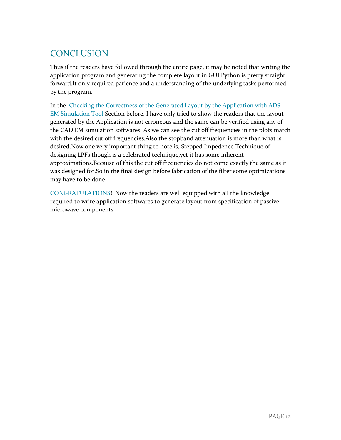# **CONCLUSION**

Thus if the readers have followed through the entire page, it may be noted that writing the application program and generating the complete layout in GUI Python is pretty straight forward.It only required patience and a understanding of the underlying tasks performed by the program.

In the Checking the Correctness of the Generated Layout by the Application with ADS EM Simulation Tool Section before, I have only tried to show the readers that the layout generated by the Application is not erroneous and the same can be verified using any of the CAD EM simulation softwares. As we can see the cut off frequencies in the plots match with the desired cut off frequencies.Also the stopband attenuation is more than what is desired.Now one very important thing to note is, Stepped Impedence Technique of designing LPFs though is a celebrated technique,yet it has some inherent approximations.Because of this the cut off frequencies do not come exactly the same as it was designed for.So,in the final design before fabrication of the filter some optimizations may have to be done.

CONGRATULATIONS!! Now the readers are well equipped with all the knowledge required to write application softwares to generate layout from specification of passive microwave components.